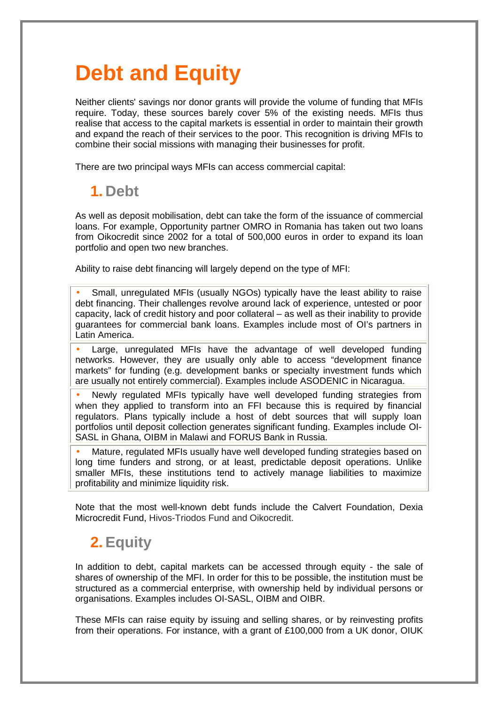## **Debt and Equity**

Neither clients' savings nor donor grants will provide the volume of funding that MFIs require. Today, these sources barely cover 5% of the existing needs. MFIs thus realise that access to the capital markets is essential in order to maintain their growth and expand the reach of their services to the poor. This recognition is driving MFIs to combine their social missions with managing their businesses for profit.

There are two principal ways MFIs can access commercial capital:

## **1. Debt**

As well as deposit mobilisation, debt can take the form of the issuance of commercial loans. For example, Opportunity partner OMRO in Romania has taken out two loans from Oikocredit since 2002 for a total of 500,000 euros in order to expand its loan portfolio and open two new branches.

Ability to raise debt financing will largely depend on the type of MFI:

• Small, unregulated MFIs (usually NGOs) typically have the least ability to raise debt financing. Their challenges revolve around lack of experience, untested or poor capacity, lack of credit history and poor collateral – as well as their inability to provide guarantees for commercial bank loans. Examples include most of OI's partners in Latin America.

Large, unregulated MFIs have the advantage of well developed funding networks. However, they are usually only able to access "development finance markets" for funding (e.g. development banks or specialty investment funds which are usually not entirely commercial). Examples include ASODENIC in Nicaragua.

• Newly regulated MFIs typically have well developed funding strategies from when they applied to transform into an FFI because this is required by financial regulators. Plans typically include a host of debt sources that will supply loan portfolios until deposit collection generates significant funding. Examples include OI-SASL in Ghana, OIBM in Malawi and FORUS Bank in Russia.

• Mature, regulated MFIs usually have well developed funding strategies based on long time funders and strong, or at least, predictable deposit operations. Unlike smaller MFIs, these institutions tend to actively manage liabilities to maximize profitability and minimize liquidity risk.

Note that the most well-known debt funds include the Calvert Foundation, Dexia Microcredit Fund, Hivos-Triodos Fund and Oikocredit.

## **2. Equity**

In addition to debt, capital markets can be accessed through equity - the sale of shares of ownership of the MFI. In order for this to be possible, the institution must be structured as a commercial enterprise, with ownership held by individual persons or organisations. Examples includes OI-SASL, OIBM and OIBR.

These MFIs can raise equity by issuing and selling shares, or by reinvesting profits from their operations. For instance, with a grant of £100,000 from a UK donor, OIUK